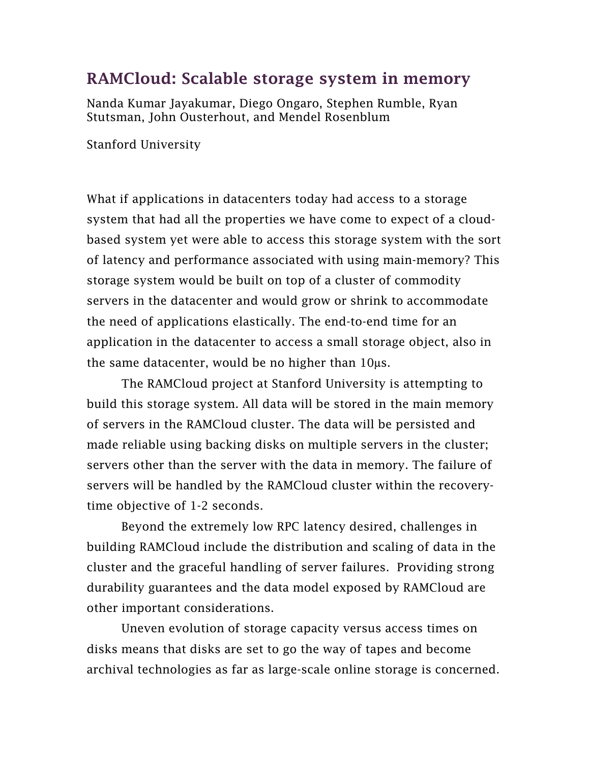## RAMCloud: Scalable storage system in memory

Nanda Kumar Jayakumar, Diego Ongaro, Stephen Rumble, Ryan Stutsman, John Ousterhout, and Mendel Rosenblum

Stanford University

What if applications in datacenters today had access to a storage system that had all the properties we have come to expect of a cloudbased system yet were able to access this storage system with the sort of latency and performance associated with using main-memory? This storage system would be built on top of a cluster of commodity servers in the datacenter and would grow or shrink to accommodate the need of applications elastically. The end-to-end time for an application in the datacenter to access a small storage object, also in the same datacenter, would be no higher than  $10\mu s$ .

 The RAMCloud project at Stanford University is attempting to build this storage system. All data will be stored in the main memory of servers in the RAMCloud cluster. The data will be persisted and made reliable using backing disks on multiple servers in the cluster; servers other than the server with the data in memory. The failure of servers will be handled by the RAMCloud cluster within the recoverytime objective of 1-2 seconds.

Beyond the extremely low RPC latency desired, challenges in building RAMCloud include the distribution and scaling of data in the cluster and the graceful handling of server failures. Providing strong durability guarantees and the data model exposed by RAMCloud are other important considerations.

Uneven evolution of storage capacity versus access times on disks means that disks are set to go the way of tapes and become archival technologies as far as large-scale online storage is concerned.